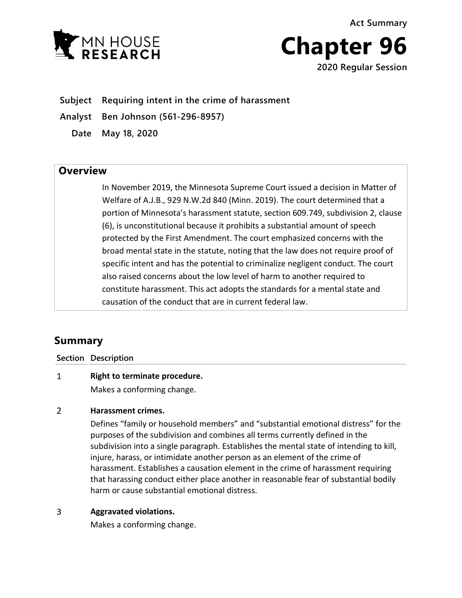**Y MN HOUSE** 

**Chapter 96 2020 Regular Session**

**Act Summary**

**Subject Requiring intent in the crime of harassment**

**Analyst Ben Johnson (561-296-8957)**

**Date May 18, 2020**

## **Overview**

In November 2019, the Minnesota Supreme Court issued a decision in Matter of Welfare of A.J.B., 929 N.W.2d 840 (Minn. 2019). The court determined that a portion of Minnesota's harassment statute, section 609.749, subdivision 2, clause (6), is unconstitutional because it prohibits a substantial amount of speech protected by the First Amendment. The court emphasized concerns with the broad mental state in the statute, noting that the law does not require proof of specific intent and has the potential to criminalize negligent conduct. The court also raised concerns about the low level of harm to another required to constitute harassment. This act adopts the standards for a mental state and causation of the conduct that are in current federal law.

# **Summary**

**Section Description**

#### $\mathbf{1}$ **Right to terminate procedure.**

Makes a conforming change.

#### $\overline{2}$ **Harassment crimes.**

Defines "family or household members" and "substantial emotional distress" for the purposes of the subdivision and combines all terms currently defined in the subdivision into a single paragraph. Establishes the mental state of intending to kill, injure, harass, or intimidate another person as an element of the crime of harassment. Establishes a causation element in the crime of harassment requiring that harassing conduct either place another in reasonable fear of substantial bodily harm or cause substantial emotional distress.

#### $\overline{3}$ **Aggravated violations.**

Makes a conforming change.